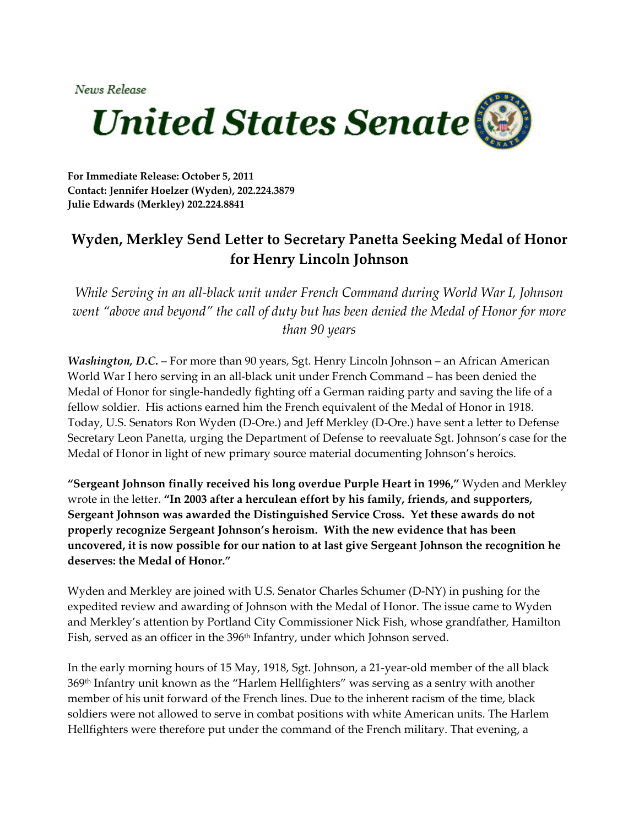News Release



**For Immediate Release: October 5, 2011 Contact: Jennifer Hoelzer (Wyden), 202.224.3879 Julie Edwards (Merkley) 202.224.8841**

## **Wyden, Merkley Send Letter to Secretary Panetta Seeking Medal of Honor for Henry Lincoln Johnson**

*While Serving in an all‐black unit under French Command during World War I, Johnson went "above and beyond" the call of duty but has been denied the Medal of Honor for more than 90 years*

*Washington, D.C.* – For more than 90 years, Sgt. Henry Lincoln Johnson – an African American World War I hero serving in an all‐black unit under French Command – has been denied the Medal of Honor for single‐handedly fighting off a German raiding party and saving the life of a fellow soldier. His actions earned him the French equivalent of the Medal of Honor in 1918. Today, U.S. Senators Ron Wyden (D‐Ore.) and Jeff Merkley (D‐Ore.) have sent a letter to Defense Secretary Leon Panetta, urging the Department of Defense to reevaluate Sgt. Johnson's case for the Medal of Honor in light of new primary source material documenting Johnson's heroics.

**"Sergeant Johnson finally received his long overdue Purple Heart in 1996,"** Wyden and Merkley wrote in the letter. **"In 2003 after a herculean effort by his family, friends, and supporters, Sergeant Johnson was awarded the Distinguished Service Cross. Yet these awards do not properly recognize Sergeant Johnson's heroism. With the new evidence that has been uncovered, it is now possible for our nation to at last give Sergeant Johnson the recognition he deserves: the Medal of Honor."**

Wyden and Merkley are joined with U.S. Senator Charles Schumer (D‐NY) in pushing for the expedited review and awarding of Johnson with the Medal of Honor. The issue came to Wyden and Merkley's attention by Portland City Commissioner Nick Fish, whose grandfather, Hamilton Fish, served as an officer in the 396<sup>th</sup> Infantry, under which Johnson served.

In the early morning hours of 15 May, 1918, Sgt. Johnson, a 21‐year‐old member of the all black 369th Infantry unit known as the "Harlem Hellfighters" was serving as a sentry with another member of his unit forward of the French lines. Due to the inherent racism of the time, black soldiers were not allowed to serve in combat positions with white American units. The Harlem Hellfighters were therefore put under the command of the French military. That evening, a